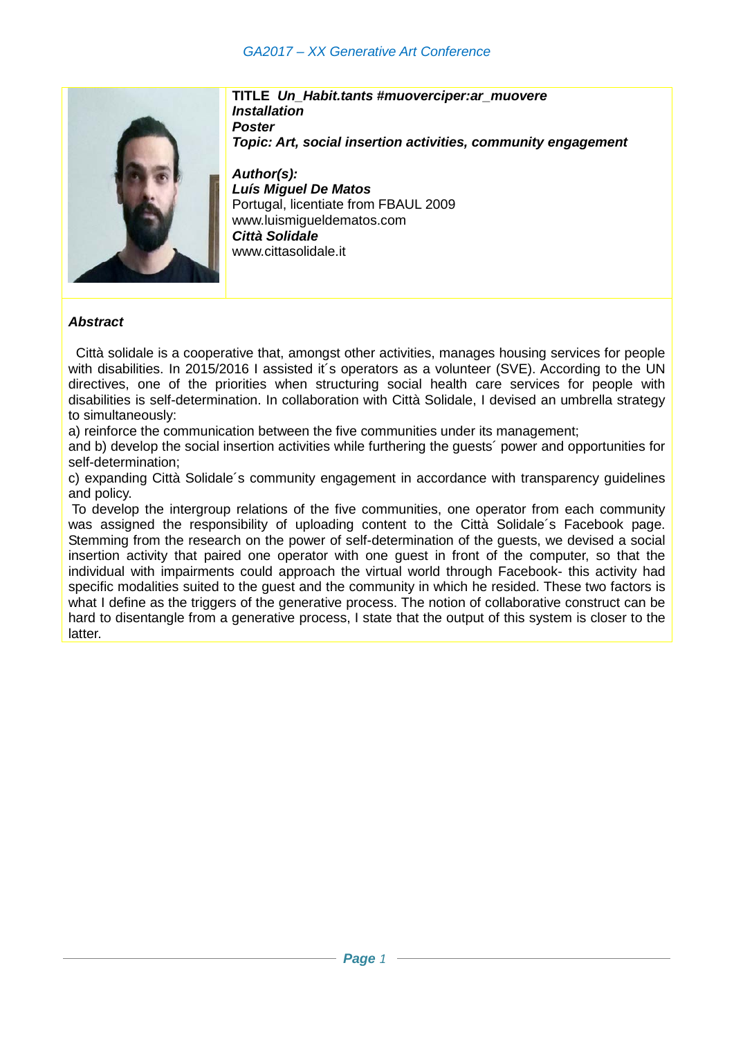## *GA2017 – XX Generative Art Conference*



**TITLE** *Un\_Habit.tants #muoverciper:ar\_muovere Installation Poster Topic: Art, social insertion activities, community engagement*

*Author(s): Luís Miguel De Matos* Portugal, licentiate from FBAUL 2009 www.luismigueldematos.com *Città Solidale* www.cittasolidale.it

## *Abstract*

 Città solidale is a cooperative that, amongst other activities, manages housing services for people with disabilities. In 2015/2016 I assisted it's operators as a volunteer (SVE). According to the UN directives, one of the priorities when structuring social health care services for people with disabilities is self-determination. In collaboration with Città Solidale, I devised an umbrella strategy to simultaneously:

a) reinforce the communication between the five communities under its management;

and b) develop the social insertion activities while furthering the guests´ power and opportunities for self-determination;

c) expanding Città Solidale´s community engagement in accordance with transparency guidelines and policy.

To develop the intergroup relations of the five communities, one operator from each community was assigned the responsibility of uploading content to the Città Solidale´s Facebook page. Stemming from the research on the power of self-determination of the guests, we devised a social insertion activity that paired one operator with one guest in front of the computer, so that the individual with impairments could approach the virtual world through Facebook- this activity had specific modalities suited to the guest and the community in which he resided. These two factors is what I define as the triggers of the generative process. The notion of collaborative construct can be hard to disentangle from a generative process, I state that the output of this system is closer to the latter.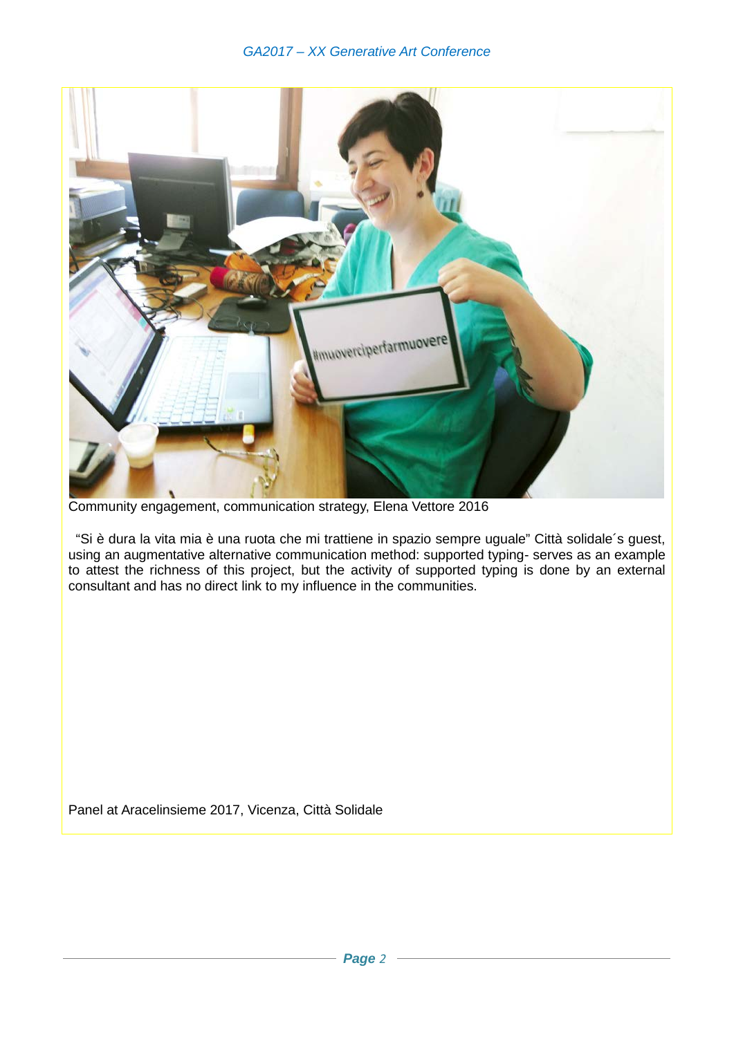

Community engagement, communication strategy, Elena Vettore 2016

 "Si è dura la vita mia è una ruota che mi trattiene in spazio sempre uguale" Città solidale´s guest, using an augmentative alternative communication method: supported typing- serves as an example to attest the richness of this project, but the activity of supported typing is done by an external consultant and has no direct link to my influence in the communities.

Panel at Aracelinsieme 2017, Vicenza, Città Solidale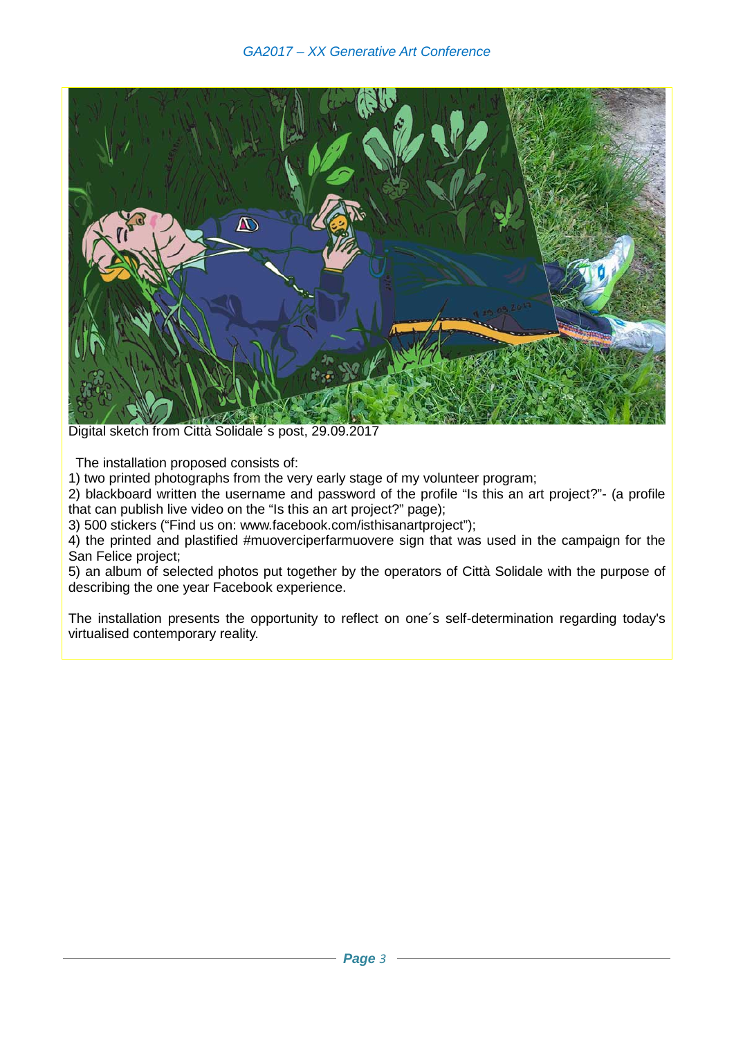

Digital sketch from Città Solidale´s post, 29.09.2017

The installation proposed consists of:

1) two printed photographs from the very early stage of my volunteer program;

2) blackboard written the username and password of the profile "Is this an art project?"- (a profile that can publish live video on the "Is this an art project?" page);

3) 500 stickers ("Find us on: [www.facebook.com/isthisanartproject"](http://www.facebook.com/isthisanartproject));

4) the printed and plastified #muoverciperfarmuovere sign that was used in the campaign for the San Felice project;

5) an album of selected photos put together by the operators of Città Solidale with the purpose of describing the one year Facebook experience.

The installation presents the opportunity to reflect on one´s self-determination regarding today's virtualised contemporary reality.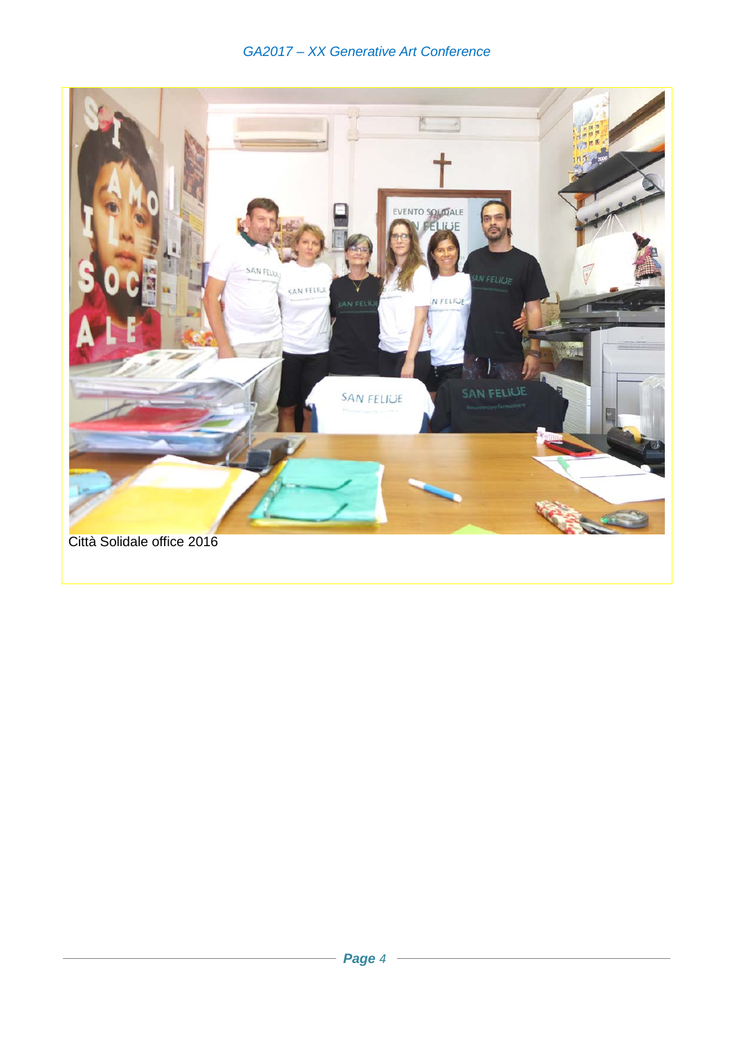## GA2017 - XX Generative Art Conference